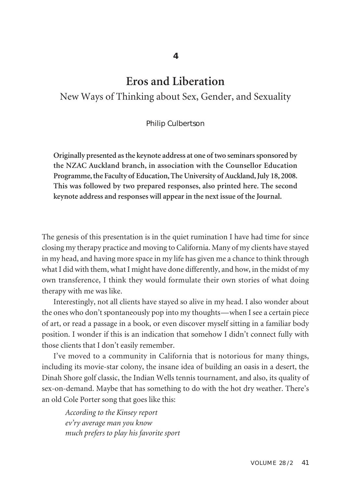# **Eros and Liberation**

## New Ways of Thinking about Sex, Gender, and Sexuality

#### Philip Culbertson

**Originally presented asthe keynote address at one of two seminarssponsored by the NZAC Auckland branch, in association with the Counsellor Education Programme,the Faculty of Education,The University of Auckland,July 18, 2008. This was followed by two prepared responses, also printed here. The second keynote address and responses will appear in the next issue of the Journal.**

The genesis of this presentation is in the quiet rumination I have had time for since closing my therapy practice and moving to California. Many of my clients have stayed in my head, and having more space in my life has given me a chance to think through what I did with them, what I might have done differently, and how, in the midst of my own transference, I think they would formulate their own stories of what doing therapy with me was like.

Interestingly, not all clients have stayed so alive in my head. I also wonder about the ones who don't spontaneously pop into my thoughts—when I see a certain piece of art, or read a passage in a book, or even discover myself sitting in a familiar body position. I wonder if this is an indication that somehow I didn't connect fully with those clients that I don't easily remember.

I've moved to a community in California that is notorious for many things, including its movie-star colony, the insane idea of building an oasis in a desert, the Dinah Shore golf classic, the Indian Wells tennis tournament, and also, its quality of sex-on-demand. Maybe that has something to do with the hot dry weather. There's an old Cole Porter song that goes like this:

*According to the Kinsey report ev'ry average man you know much prefers to play his favorite sport*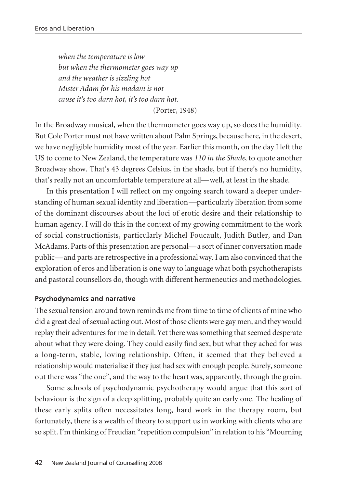*when the temperature is low but when the thermometer goes way up and the weather is sizzling hot Mister Adam for his madam is not cause it's too darn hot, it's too darn hot.*

(Porter, 1948)

In the Broadway musical, when the thermometer goes way up, so does the humidity. But Cole Porter must not have written about Palm Springs, because here, in the desert, we have negligible humidity most of the year. Earlier this month, on the day I left the US to come to New Zealand, the temperature was *110 in the Shade*, to quote another Broadway show. That's 43 degrees Celsius, in the shade, but if there's no humidity, that's really not an uncomfortable temperature at all—well, at least in the shade.

In this presentation I will reflect on my ongoing search toward a deeper understanding of human sexual identity and liberation—particularly liberation from some of the dominant discourses about the loci of erotic desire and their relationship to human agency. I will do this in the context of my growing commitment to the work of social constructionists, particularly Michel Foucault, Judith Butler, and Dan McAdams. Parts of this presentation are personal—a sort of inner conversation made public—and parts are retrospective in a professional way. I am also convinced that the exploration of eros and liberation is one way to language what both psychotherapists and pastoral counsellors do, though with different hermeneutics and methodologies.

### **Psychodynamics and narrative**

The sexual tension around town reminds me from time to time of clients of mine who did a great deal of sexual acting out. Most of those clients were gay men, and they would replay their adventures for me in detail. Yet there was something that seemed desperate about what they were doing. They could easily find sex, but what they ached for was a long-term, stable, loving relationship. Often, it seemed that they believed a relationship would materialise if they just had sex with enough people. Surely, someone out there was "the one", and the way to the heart was, apparently, through the groin.

Some schools of psychodynamic psychotherapy would argue that this sort of behaviour is the sign of a deep splitting, probably quite an early one. The healing of these early splits often necessitates long, hard work in the therapy room, but fortunately, there is a wealth of theory to support us in working with clients who are so split. I'm thinking of Freudian "repetition compulsion" in relation to his "Mourning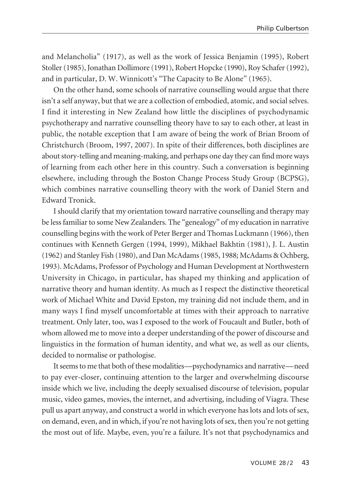and Melancholia" (1917), as well as the work of Jessica Benjamin (1995), Robert Stoller (1985), Jonathan Dollimore (1991), Robert Hopcke (1990), Roy Schafer (1992), and in particular, D. W. Winnicott's "The Capacity to Be Alone" (1965).

On the other hand, some schools of narrative counselling would argue that there isn't a self anyway, but that we are a collection of embodied, atomic, and social selves. I find it interesting in New Zealand how little the disciplines of psychodynamic psychotherapy and narrative counselling theory have to say to each other, at least in public, the notable exception that I am aware of being the work of Brian Broom of Christchurch (Broom, 1997, 2007). In spite of their differences, both disciplines are about story-telling and meaning-making, and perhaps one day they can find more ways of learning from each other here in this country. Such a conversation is beginning elsewhere, including through the Boston Change Process Study Group (BCPSG), which combines narrative counselling theory with the work of Daniel Stern and Edward Tronick.

I should clarify that my orientation toward narrative counselling and therapy may be lessfamiliarto some New Zealanders. The "genealogy" of my education in narrative counselling begins with the work of Peter Berger and Thomas Luckmann (1966), then continues with Kenneth Gergen (1994, 1999), Mikhael Bakhtin (1981), J. L. Austin (1962) and Stanley Fish (1980), and Dan McAdams(1985, 1988; McAdams & Ochberg, 1993). McAdams, Professor of Psychology and Human Development at Northwestern University in Chicago, in particular, has shaped my thinking and application of narrative theory and human identity. As much as I respect the distinctive theoretical work of Michael White and David Epston, my training did not include them, and in many ways I find myself uncomfortable at times with their approach to narrative treatment. Only later, too, was I exposed to the work of Foucault and Butler, both of whom allowed me to move into a deeper understanding of the power of discourse and linguistics in the formation of human identity, and what we, as well as our clients, decided to normalise or pathologise.

It seems to me that both of these modalities—psychodynamics and narrative—need to pay ever-closer, continuing attention to the larger and overwhelming discourse inside which we live, including the deeply sexualised discourse of television, popular music, video games, movies, the internet, and advertising, including of Viagra. These pull us apart anyway, and construct a world in which everyone has lots and lots of sex, on demand, even, and in which, if you're not having lots ofsex, then you're not getting the most out of life. Maybe, even, you're a failure. It's not that psychodynamics and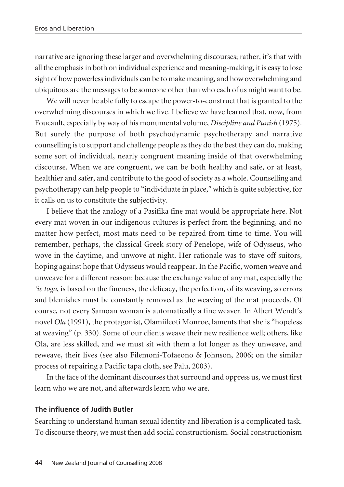narrative are ignoring these larger and overwhelming discourses; rather, it's that with all the emphasisin both on individual experience and meaning-making, it is easy to lose sight of how powerless individuals can be to make meaning, and how overwhelming and ubiquitous are the messages to be someone other than who each of us might want to be.

We will never be able fully to escape the power-to-construct that is granted to the overwhelming discourses in which we live. I believe we have learned that, now, from Foucault, especially by way of his monumental volume, *Discipline and Punish* (1975). But surely the purpose of both psychodynamic psychotherapy and narrative counselling is to support and challenge people as they do the best they can do, making some sort of individual, nearly congruent meaning inside of that overwhelming discourse. When we are congruent, we can be both healthy and safe, or at least, healthier and safer, and contribute to the good of society as a whole. Counselling and psychotherapy can help people to "individuate in place," which is quite subjective, for it calls on us to constitute the subjectivity.

I believe that the analogy of a Pasifika fine mat would be appropriate here. Not every mat woven in our indigenous cultures is perfect from the beginning, and no matter how perfect, most mats need to be repaired from time to time. You will remember, perhaps, the classical Greek story of Penelope, wife of Odysseus, who wove in the daytime, and unwove at night. Her rationale was to stave off suitors, hoping against hope that Odysseus would reappear. In the Pacific, women weave and unweave for a different reason: because the exchange value of any mat, especially the *'ie toga*, is based on the fineness, the delicacy, the perfection, of its weaving, so errors and blemishes must be constantly removed as the weaving of the mat proceeds. Of course, not every Samoan woman is automatically a fine weaver. In Albert Wendt's novel *Ola* (1991), the protagonist, Olamiileoti Monroe, laments that she is "hopeless at weaving" (p. 330). Some of our clients weave their new resilience well; others, like Ola, are less skilled, and we must sit with them a lot longer as they unweave, and reweave, their lives (see also Filemoni-Tofaeono & Johnson, 2006; on the similar process of repairing a Pacific tapa cloth, see Palu, 2003).

In the face of the dominant discourses that surround and oppress us, we must first learn who we are not, and afterwards learn who we are.

## **The influence of Judith Butler**

Searching to understand human sexual identity and liberation is a complicated task. To discourse theory, we must then add social constructionism. Social constructionism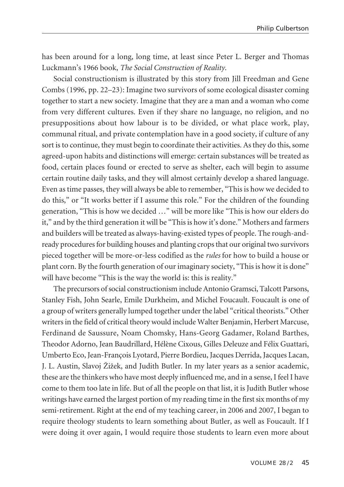has been around for a long, long time, at least since Peter L. Berger and Thomas Luckmann's 1966 book, *The Social Construction of Reality*.

Social constructionism is illustrated by this story from Jill Freedman and Gene Combs (1996, pp. 22–23): Imagine two survivors of some ecological disaster coming together to start a new society. Imagine that they are a man and a woman who come from very different cultures. Even if they share no language, no religion, and no presuppositions about how labour is to be divided, or what place work, play, communal ritual, and private contemplation have in a good society, if culture of any sort is to continue, they must begin to coordinate their activities. As they do this, some agreed-upon habits and distinctions will emerge: certain substances will be treated as food, certain places found or erected to serve as shelter, each will begin to assume certain routine daily tasks, and they will almost certainly develop a shared language. Even as time passes, they will always be able to remember, "This is how we decided to do this," or "It works better if I assume this role." For the children of the founding generation, "This is how we decided …" will be more like "This is how our elders do it," and by the third generation it will be "This is how it's done." Mothers and farmers and builders will be treated as always-having-existed types of people. The rough-andready procedures for building houses and planting crops that our original two survivors pieced together will be more-or-less codified as the *rules* for how to build a house or plant corn. By the fourth generation of our imaginary society, "This is how it is done" will have become "This is the way the world is: this is reality."

The precursors of social constructionism include Antonio Gramsci, Talcott Parsons, Stanley Fish, John Searle, Emile Durkheim, and Michel Foucault. Foucault is one of a group of writers generally lumped together under the label "critical theorists." Other writersin the field of critical theory would include Walter Benjamin, Herbert Marcuse, Ferdinand de Saussure, Noam Chomsky, Hans-Georg Gadamer, Roland Barthes, Theodor Adorno, Jean Baudrillard, Hélène Cixous, Gilles Deleuze and Félix Guattari, Umberto Eco, Jean-François Lyotard, Pierre Bordieu, Jacques Derrida, Jacques Lacan, J. L. Austin, Slavoj Ž iž ek, and Judith Butler. In my later years as a senior academic, these are the thinkers who have most deeply influenced me, and in a sense, I feel I have come to them too late in life. But of all the people on that list, it is Judith Butler whose writings have earned the largest portion of my reading time in the first six months of my semi-retirement. Right at the end of my teaching career, in 2006 and 2007, I began to require theology students to learn something about Butler, as well as Foucault. If I were doing it over again, I would require those students to learn even more about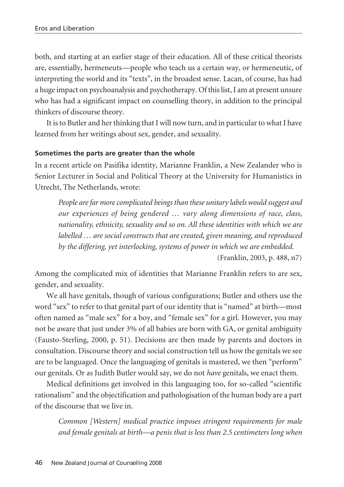both, and starting at an earlier stage of their education. All of these critical theorists are, essentially, hermeneuts—people who teach us a certain way, or hermeneutic, of interpreting the world and its "texts", in the broadest sense. Lacan, of course, has had a huge impact on psychoanalysis and psychotherapy. Of thislist, I am at present unsure who has had a significant impact on counselling theory, in addition to the principal thinkers of discourse theory.

It is to Butler and her thinking that I will now turn, and in particular to what I have learned from her writings about sex, gender, and sexuality.

## **Sometimes the parts are greater than the whole**

In a recent article on Pasifika identity, Marianne Franklin, a New Zealander who is Senior Lecturer in Social and Political Theory at the University for Humanistics in Utrecht, The Netherlands, wrote:

*People arefar morecomplicated beings than these unitary labels would suggest and our experiences of being gendered … vary along dimensions of race, class, nationality, ethnicity, sexuality and so on. All these identities with which we are labelled … are social constructs that are created, given meaning, and reproduced by the differing, yet interlocking, systems of power in which we are embedded.*

(Franklin, 2003, p. 488, n7)

Among the complicated mix of identities that Marianne Franklin refers to are sex, gender, and sexuality.

We all have genitals, though of various configurations; Butler and others use the word "sex" to refer to that genital part of our identity that is "named" at birth—most often named as "male sex" for a boy, and "female sex" for a girl. However, you may not be aware that just under 3% of all babies are born with GA, or genital ambiguity (Fausto-Sterling, 2000, p. 51). Decisions are then made by parents and doctors in consultation. Discourse theory and social construction tell us how the genitals we see are to be languaged. Once the languaging of genitals is mastered, we then "perform" our genitals. Or as Judith Butler would say, we do not *have* genitals, we enact them.

Medical definitions get involved in this languaging too, for so-called "scientific rationalism" and the objectification and pathologisation of the human body are a part of the discourse that we live in.

*Common [Western] medical practice imposes stringent requirements for male and female genitals at birth—a penis that is less than 2.5 centimeters long when*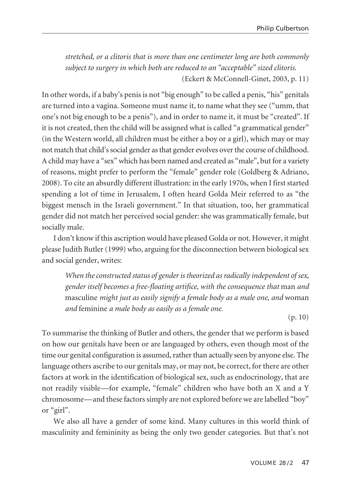*stretched, or a clitoris that is more than one centimeter long are both commonly subject to surgery in which both are reduced to an "acceptable" sized clitoris.* (Eckert & McConnell-Ginet, 2003, p. 11)

In other words, if a baby's penis is not "big enough" to be called a penis, "his" genitals are turned into a vagina. Someone must name it, to name what they see ("umm, that one's not big enough to be a penis"), and in order to name it, it must be "created". If it is not created, then the child will be assigned what is called "a grammatical gender" (in the Western world, all children must be either a boy or a girl), which may or may not match that child's social gender as that gender evolves over the course of childhood. A child may have a "sex" which has been named and created as "male", but for a variety of reasons, might prefer to perform the "female" gender role (Goldberg & Adriano, 2008). To cite an absurdly different illustration: in the early 1970s, when I first started spending a lot of time in Jerusalem, I often heard Golda Meir referred to as "the biggest mensch in the Israeli government." In that situation, too, her grammatical gender did not match her perceived social gender: she was grammatically female, but socially male.

I don't know if this ascription would have pleased Golda or not. However, it might please Judith Butler(1999) who, arguing forthe disconnection between biological sex and social gender, writes:

*When theconstructed status of gender is theorized as radically independent of sex, gender itself becomes a free-floating artifice, with the consequence that* man *and* masculine *might just as easily signify a female body as a male one, and* woman *and* feminine *a male body as easily as a female one.*

(p. 10)

To summarise the thinking of Butler and others, the gender that we perform is based on how our genitals have been or are languaged by others, even though most of the time our genital configuration is assumed, rather than actually seen by anyone else. The language others ascribe to our genitals may, or may not, be correct, for there are other factors at work in the identification of biological sex, such as endocrinology, that are not readily visible—for example, "female" children who have both an X and a Y chromosome—and these factors simply are not explored before we are labelled "boy" or "girl".

We also all have a gender of some kind. Many cultures in this world think of masculinity and femininity as being the only two gender categories. But that's not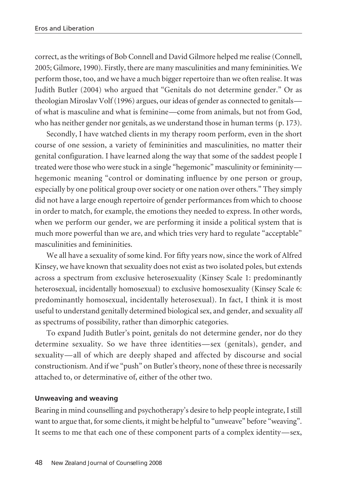correct, asthe writings of Bob Connell and David Gilmore helped me realise (Connell, 2005; Gilmore, 1990). Firstly, there are many masculinities and many femininities. We perform those, too, and we have a much biggerrepertoire than we often realise. It was Judith Butler (2004) who argued that "Genitals do not determine gender." Or as theologian Miroslav Volf(1996) argues, ourideas of gender as connected to genitals of what is masculine and what is feminine—come from animals, but not from God, who has neither gender nor genitals, as we understand those in human terms (p. 173).

Secondly, I have watched clients in my therapy room perform, even in the short course of one session, a variety of femininities and masculinities, no matter their genital configuration. I have learned along the way that some of the saddest people I treated were those who were stuck in a single "hegemonic" masculinity or femininity hegemonic meaning "control or dominating influence by one person or group, especially by one political group over society or one nation over others." They simply did not have a large enough repertoire of gender performances from which to choose in order to match, for example, the emotions they needed to express. In other words, when we perform our gender, we are performing it inside a political system that is much more powerful than we are, and which tries very hard to regulate "acceptable" masculinities and femininities.

We all have a sexuality of some kind. For fifty years now, since the work of Alfred Kinsey, we have known that sexuality does not exist as two isolated poles, but extends across a spectrum from exclusive heterosexuality (Kinsey Scale 1: predominantly heterosexual, incidentally homosexual) to exclusive homosexuality (Kinsey Scale 6: predominantly homosexual, incidentally heterosexual). In fact, I think it is most useful to understand genitally determined biological sex, and gender, and sexuality *all* as spectrums of possibility, rather than dimorphic categories.

To expand Judith Butler's point, genitals do not determine gender, nor do they determine sexuality. So we have three identities—sex (genitals), gender, and sexuality—all of which are deeply shaped and affected by discourse and social constructionism. And if we "push" on Butler'stheory, none of these three is necessarily attached to, or determinative of, either of the other two.

## **Unweaving and weaving**

Bearing in mind counselling and psychotherapy's desire to help people integrate, I still want to argue that, for some clients, it might be helpful to "unweave" before "weaving". It seems to me that each one of these component parts of a complex identity—sex,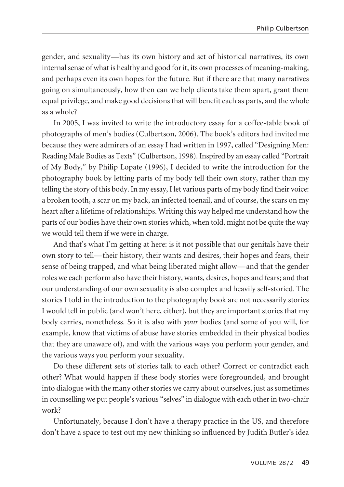gender, and sexuality—has its own history and set of historical narratives, its own internal sense of what is healthy and good for it, its own processes of meaning-making, and perhaps even its own hopes for the future. But if there are that many narratives going on simultaneously, how then can we help clients take them apart, grant them equal privilege, and make good decisions that will benefit each as parts, and the whole as a whole?

In 2005, I was invited to write the introductory essay for a coffee-table book of photographs of men's bodies (Culbertson, 2006). The book's editors had invited me because they were admirers of an essay I had written in 1997, called "Designing Men: Reading Male Bodies as Texts" (Culbertson, 1998). Inspired by an essay called "Portrait of My Body," by Philip Lopate (1996), I decided to write the introduction for the photography book by letting parts of my body tell their own story, rather than my telling the story of this body. In my essay, I let various parts of my body find their voice: a broken tooth, a scar on my back, an infected toenail, and of course, the scars on my heart after a lifetime ofrelationships. Writing this way helped me understand how the parts of our bodies have their own stories which, when told, might not be quite the way we would tell them if we were in charge.

And that's what I'm getting at here: is it not possible that our genitals have their own story to tell—their history, their wants and desires, their hopes and fears, their sense of being trapped, and what being liberated might allow—and that the gender roles we each perform also have their history, wants, desires, hopes and fears; and that our understanding of our own sexuality is also complex and heavily self-storied. The stories I told in the introduction to the photography book are not necessarily stories I would tell in public (and won't here, either), but they are important stories that my body carries, nonetheless. So it is also with *your* bodies (and some of you will, for example, know that victims of abuse have stories embedded in their physical bodies that they are unaware of), and with the various ways you perform your gender, and the various ways you perform your sexuality.

Do these different sets of stories talk to each other? Correct or contradict each other? What would happen if these body stories were foregrounded, and brought into dialogue with the many other stories we carry about ourselves, just as sometimes in counselling we put people's various "selves" in dialogue with each other in two-chair work?

Unfortunately, because I don't have a therapy practice in the US, and therefore don't have a space to test out my new thinking so influenced by Judith Butler's idea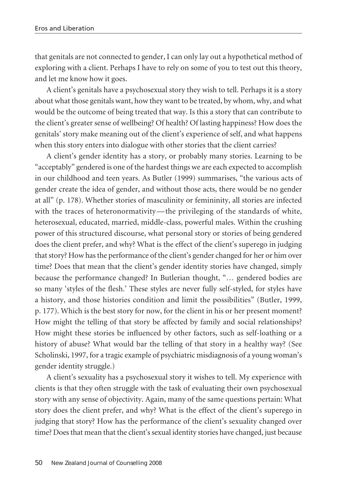that genitals are not connected to gender, I can only lay out a hypothetical method of exploring with a client. Perhaps I have to rely on some of you to test out this theory, and let me know how it goes.

A client's genitals have a psychosexual story they wish to tell. Perhaps it is a story about what those genitals want, how they want to be treated, by whom, why, and what would be the outcome of being treated that way. Is this a story that can contribute to the client's greater sense of wellbeing? Of health? Of lasting happiness? How does the genitals' story make meaning out of the client's experience of self, and what happens when this story enters into dialogue with other stories that the client carries?

A client's gender identity has a story, or probably many stories. Learning to be "acceptably" gendered is one of the hardest things we are each expected to accomplish in our childhood and teen years. As Butler (1999) summarises, "the various acts of gender create the idea of gender, and without those acts, there would be no gender at all" (p. 178). Whether stories of masculinity or femininity, all stories are infected with the traces of heteronormativity—the privileging of the standards of white, heterosexual, educated, married, middle-class, powerful males. Within the crushing power of this structured discourse, what personal story or stories of being gendered does the client prefer, and why? What is the effect of the client's superego in judging that story? How has the performance of the client's gender changed for her or him over time? Does that mean that the client's gender identity stories have changed, simply because the performance changed? In Butlerian thought, "… gendered bodies are so many 'styles of the flesh.' These styles are never fully self-styled, for styles have a history, and those histories condition and limit the possibilities" (Butler, 1999, p. 177). Which is the best story for now, for the client in his or her present moment? How might the telling of that story be affected by family and social relationships? How might these stories be influenced by other factors, such as self-loathing or a history of abuse? What would bar the telling of that story in a healthy way? (See Scholinski, 1997, for a tragic example of psychiatric misdiagnosis of a young woman's gender identity struggle.)

A client's sexuality has a psychosexual story it wishes to tell. My experience with clients is that they often struggle with the task of evaluating their own psychosexual story with any sense of objectivity. Again, many of the same questions pertain: What story does the client prefer, and why? What is the effect of the client's superego in judging that story? How has the performance of the client's sexuality changed over time? Does that mean that the client's sexual identity stories have changed, just because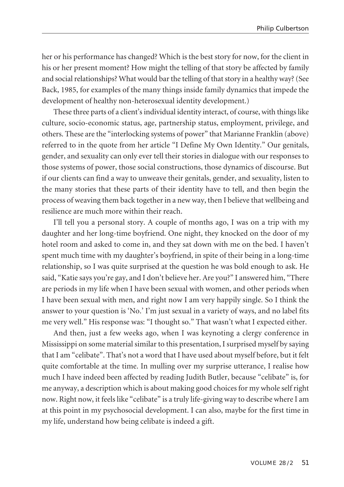her or his performance has changed? Which is the best story for now, for the client in his or her present moment? How might the telling of that story be affected by family and social relationships? What would bar the telling of that story in a healthy way? (See Back, 1985, for examples of the many things inside family dynamics that impede the development of healthy non-heterosexual identity development.)

These three parts of a client's individual identity interact, of course, with things like culture, socio-economic status, age, partnership status, employment, privilege, and others. These are the "interlocking systems of power" that Marianne Franklin (above) referred to in the quote from her article "I Define My Own Identity." Our genitals, gender, and sexuality can only ever tell their stories in dialogue with our responses to those systems of power, those social constructions, those dynamics of discourse. But if our clients can find a way to unweave their genitals, gender, and sexuality, listen to the many stories that these parts of their identity have to tell, and then begin the process of weaving them back togetherin a new way, then I believe that wellbeing and resilience are much more within their reach.

I'll tell you a personal story. A couple of months ago, I was on a trip with my daughter and her long-time boyfriend. One night, they knocked on the door of my hotel room and asked to come in, and they sat down with me on the bed. I haven't spent much time with my daughter's boyfriend, in spite of their being in a long-time relationship, so I was quite surprised at the question he was bold enough to ask. He said, "Katie says you're gay, and I don't believe her. Are you?" I answered him, "There are periods in my life when I have been sexual with women, and other periods when I have been sexual with men, and right now I am very happily single. So I think the answer to your question is 'No.' I'm just sexual in a variety of ways, and no label fits me very well." His response was: "I thought so." That wasn't what I expected either.

And then, just a few weeks ago, when I was keynoting a clergy conference in Mississippi on some material similar to this presentation, I surprised myself by saying that I am "celibate". That's not a word that I have used about myself before, but it felt quite comfortable at the time. In mulling over my surprise utterance, I realise how much I have indeed been affected by reading Judith Butler, because "celibate" is, for me anyway, a description which is about making good choices for my whole self right now. Right now, it feels like "celibate" is a truly life-giving way to describe where I am at this point in my psychosocial development. I can also, maybe for the first time in my life, understand how being celibate is indeed a gift.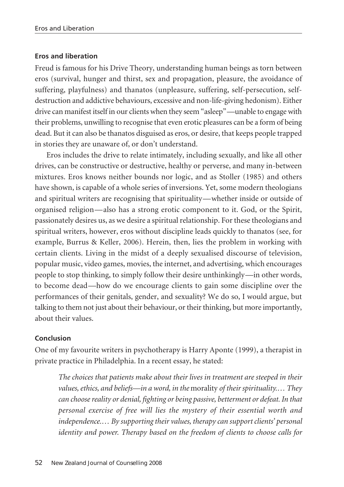## **Eros and liberation**

Freud is famous for his Drive Theory, understanding human beings as torn between eros (survival, hunger and thirst, sex and propagation, pleasure, the avoidance of suffering, playfulness) and thanatos (unpleasure, suffering, self-persecution, selfdestruction and addictive behaviours, excessive and non-life-giving hedonism). Either drive can manifest itself in our clients when they seem "asleep"—unable to engage with their problems, unwilling to recognise that even erotic pleasures can be a form of being dead. But it can also be thanatos disguised as eros, or desire, that keeps people trapped in stories they are unaware of, or don't understand.

Eros includes the drive to relate intimately, including sexually, and like all other drives, can be constructive or destructive, healthy or perverse, and many in-between mixtures. Eros knows neither bounds nor logic, and as Stoller (1985) and others have shown, is capable of a whole series of inversions. Yet, some modern theologians and spiritual writers are recognising that spirituality—whether inside or outside of organised religion—also has a strong erotic component to it. God, or the Spirit, passionately desires us, as we desire a spiritual relationship. For these theologians and spiritual writers, however, eros without discipline leads quickly to thanatos (see, for example, Burrus & Keller, 2006). Herein, then, lies the problem in working with certain clients. Living in the midst of a deeply sexualised discourse of television, popular music, video games, movies, the internet, and advertising, which encourages people to stop thinking, to simply follow their desire unthinkingly—in other words, to become dead—how do we encourage clients to gain some discipline over the performances of their genitals, gender, and sexuality? We do so, I would argue, but talking to them not just about their behaviour, or their thinking, but more importantly, about their values.

## **Conclusion**

One of my favourite writers in psychotherapy is Harry Aponte (1999), a therapist in private practice in Philadelphia. In a recent essay, he stated:

*The choices that patients make about their lives in treatment are steeped in their values,ethics, and beliefs—in a word, in the* morality *of their spirituality.… They can choosereality or denial, fighting or being passive, betterment or defeat. In that personal exercise of free will lies the mystery of their essential worth and independence.… By supporting their values, therapy can support clients' personal identity and power. Therapy based on the freedom of clients to choose calls for*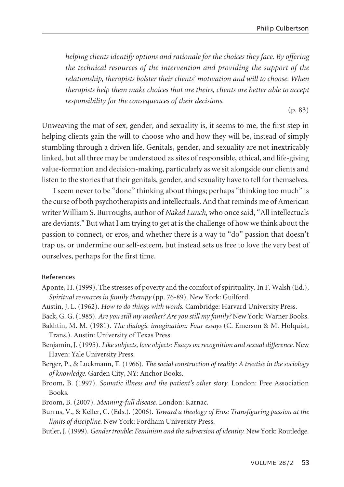*helping clients identify options and rationale for the choices they face. By offering the technical resources of the intervention and providing the support of the relationship, therapists bolster their clients' motivation and will to choose. When therapists help them make choices that are theirs, clients are better able to accept responsibility for the consequences of their decisions.*

(p. 83)

Unweaving the mat of sex, gender, and sexuality is, it seems to me, the first step in helping clients gain the will to choose who and how they will be, instead of simply stumbling through a driven life. Genitals, gender, and sexuality are not inextricably linked, but all three may be understood as sites of responsible, ethical, and life-giving value-formation and decision-making, particularly as we sit alongside our clients and listen to the stories that their genitals, gender, and sexuality have to tell for themselves.

I seem never to be "done" thinking about things; perhaps "thinking too much" is the curse of both psychotherapists and intellectuals. And that reminds me of American writer William S. Burroughs, author of *Naked Lunch*, who once said, "All intellectuals are deviants." But what I am trying to get at is the challenge of how we think about the passion to connect, or eros, and whether there is a way to "do" passion that doesn't trap us, or undermine our self-esteem, but instead sets us free to love the very best of ourselves, perhaps for the first time.

## References

- Aponte, H. (1999). The stresses of poverty and the comfort of spirituality. In F. Walsh (Ed.), *Spiritual resources in family therapy* (pp. 76-89). New York: Guilford.
- Austin, J. L. (1962). *How to do things with words*. Cambridge: Harvard University Press.
- Back, G. G.(1985). *Are you still my mother? Are you still my family?* New York: Warner Books.
- Bakhtin, M. M. (1981). *The dialogic imagination: Four essays* (C. Emerson & M. Holquist, Trans.). Austin: University of Texas Press.
- Benjamin, J.(1995). *Likesubjects, love objects: Essays on recognition and sexual difference.* New Haven: Yale University Press.
- Berger, P., & Luckmann, T. (1966). *The social construction of reality: A treatise in the sociology of knowledge.* Garden City, NY: Anchor Books.
- Broom, B. (1997). *Somatic illness and the patient's other story*. London: Free Association Books.
- Broom, B. (2007). *Meaning-full disease*. London: Karnac.
- Burrus, V., & Keller, C. (Eds.). (2006). *Toward a theology of Eros: Transfiguring passion at the limits of discipline*. New York: Fordham University Press.
- Butler, J.(1999). *Gendertrouble: Feminism and thesubversion of identity.* New York: Routledge.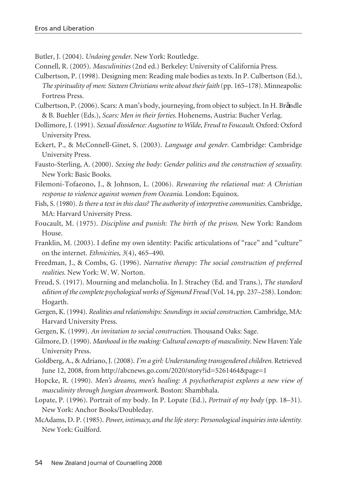Butler, J. (2004). *Undoing gender*. New York: Routledge.

Connell, R. (2005). *Masculinities* (2nd ed.) Berkeley: University of California Press.

- Culbertson, P. (1998). Designing men: Reading male bodies as texts. In P. Culbertson (Ed.), *Thespirituality of men: Sixteen Christians write about theirfaith* (pp. 165–178). Minneapolis: Fortress Press.
- Culbertson, P.(2006). Scars: A man's body, journeying, from object to subject. In H. Brändle & B. Buehler (Eds.), *Scars: Men in their forties*. Hohenems, Austria: Bucher Verlag.
- Dollimore, J.(1991). *Sexual dissidence: Augustineto Wilde, Freud to Foucault*. Oxford: Oxford University Press.
- Eckert, P., & McConnell-Ginet, S. (2003). *Language and gender*. Cambridge: Cambridge University Press.
- Fausto-Sterling, A. (2000). *Sexing the body: Gender politics and the construction of sexuality.* New York: Basic Books.
- Filemoni-Tofaeono, J., & Johnson, L. (2006). *Reweaving the relational mat: A Christian response to violence against women from Oceania.* London: Equinox.
- Fish, S.(1980). *Is there a text in thisclass? The authority of interpretivecommunities*. Cambridge, MA: Harvard University Press.
- Foucault, M. (1975). *Discipline and punish: The birth of the prison*. New York: Random House.
- Franklin, M. (2003). I define my own identity: Pacific articulations of "race" and "culture" on the internet. *Ethnicities, 3*(4), 465–490.
- Freedman, J., & Combs, G. (1996). *Narrative therapy: The social construction of preferred realities.* New York: W. W. Norton.
- Freud, S. (1917). Mourning and melancholia. In J. Strachey (Ed. and Trans.), *The standard edition of thecomplete psychological works of Sigmund Freud* (Vol. 14, pp. 237–258). London: Hogarth.
- Gergen, K.(1994). *Realities and relationships: Soundings in socialconstruction*. Cambridge, MA: Harvard University Press.
- Gergen, K. (1999). *An invitation to social construction*. Thousand Oaks: Sage.
- Gilmore, D.(1990). *Manhood in the making: Culturalconcepts of masculinity*. New Haven: Yale University Press.
- Goldberg, A., & Adriano, J.(2008). *I'm a girl: Understanding transgendered children.* Retrieved June 12, 2008, from http://abcnews.go.com/2020/story?id=5261464&page=1
- Hopcke, R. (1990). *Men's dreams, men's healing: A psychotherapist explores a new view of masculinity through Jungian dreamwork.* Boston: Shambhala.
- Lopate, P. (1996). Portrait of my body. In P. Lopate (Ed.), *Portrait of my body* (pp. 18–31). New York: Anchor Books/Doubleday.
- McAdams, D. P.(1985). *Power, intimacy, and thelifestory: Personological inquiries into identity.* New York: Guilford.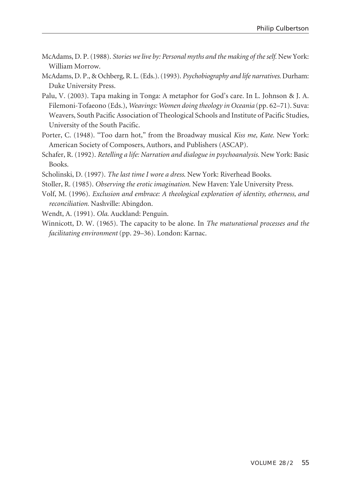- McAdams, D. P.(1988). *Stories welive by: Personal myths and the making of theself.* New York: William Morrow.
- McAdams, D. P., & Ochberg, R. L.(Eds.).(1993). *Psychobiography and life narratives*. Durham: Duke University Press.
- Palu, V. (2003). Tapa making in Tonga: A metaphor for God's care. In L. Johnson & J. A. Filemoni-Tofaeono (Eds.), *Weavings: Women doing theology in Oceania* (pp. 62–71). Suva: Weavers, South Pacific Association of Theological Schools and Institute of Pacific Studies, University of the South Pacific.
- Porter, C. (1948). "Too darn hot," from the Broadway musical *Kiss me, Kate*. New York: American Society of Composers, Authors, and Publishers (ASCAP).
- Schafer, R. (1992). *Retelling a life: Narration and dialogue in psychoanalysis.* New York: Basic Books.
- Scholinski, D. (1997). *The last time I wore a dress*. New York: Riverhead Books.
- Stoller, R. (1985). *Observing the erotic imagination*. New Haven: Yale University Press.
- Volf, M. (1996). *Exclusion and embrace: A theological exploration of identity, otherness, and reconciliation.* Nashville: Abingdon.

Wendt, A. (1991). *Ola*. Auckland: Penguin.

Winnicott, D. W. (1965). The capacity to be alone. In *The maturational processes and the facilitating environment* (pp. 29–36). London: Karnac.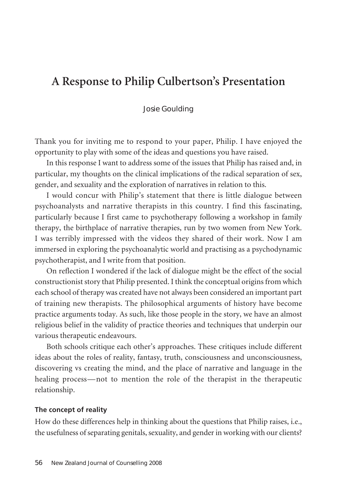# **A Response to Philip Culbertson's Presentation**

### Josie Goulding

Thank you for inviting me to respond to your paper, Philip. I have enjoyed the opportunity to play with some of the ideas and questions you have raised.

In this response I want to address some of the issues that Philip has raised and, in particular, my thoughts on the clinical implications of the radical separation of sex, gender, and sexuality and the exploration of narratives in relation to this.

I would concur with Philip's statement that there is little dialogue between psychoanalysts and narrative therapists in this country. I find this fascinating, particularly because I first came to psychotherapy following a workshop in family therapy, the birthplace of narrative therapies, run by two women from New York. I was terribly impressed with the videos they shared of their work. Now I am immersed in exploring the psychoanalytic world and practising as a psychodynamic psychotherapist, and I write from that position.

On reflection I wondered if the lack of dialogue might be the effect of the social constructionist story that Philip presented. I think the conceptual origins from which each school of therapy was created have not always been considered an important part of training new therapists. The philosophical arguments of history have become practice arguments today. As such, like those people in the story, we have an almost religious belief in the validity of practice theories and techniques that underpin our various therapeutic endeavours.

Both schools critique each other's approaches. These critiques include different ideas about the roles of reality, fantasy, truth, consciousness and unconsciousness, discovering vs creating the mind, and the place of narrative and language in the healing process—not to mention the role of the therapist in the therapeutic relationship.

#### **The concept of reality**

How do these differences help in thinking about the questions that Philip raises, i.e., the usefulness of separating genitals, sexuality, and gender in working with our clients?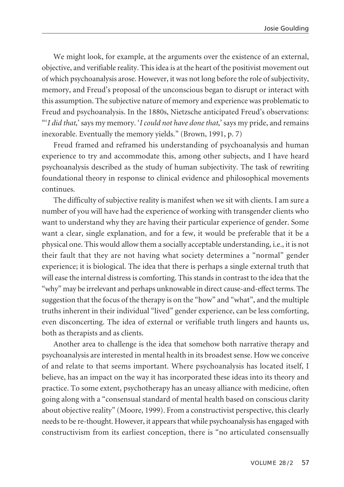We might look, for example, at the arguments over the existence of an external, objective, and verifiable reality. This idea is at the heart of the positivist movement out of which psychoanalysis arose. However, it was not long before the role of subjectivity, memory, and Freud's proposal of the unconscious began to disrupt or interact with this assumption. The subjective nature of memory and experience was problematic to Freud and psychoanalysis. In the 1880s, Nietzsche anticipated Freud's observations: "'*I did that*,' says my memory. '*I could not have donethat*,' says my pride, and remains inexorable. Eventually the memory yields." (Brown, 1991, p. 7)

Freud framed and reframed his understanding of psychoanalysis and human experience to try and accommodate this, among other subjects, and I have heard psychoanalysis described as the study of human subjectivity. The task of rewriting foundational theory in response to clinical evidence and philosophical movements continues.

The difficulty of subjective reality is manifest when we sit with clients. I am sure a number of you will have had the experience of working with transgender clients who want to understand why they are having their particular experience of gender. Some want a clear, single explanation, and for a few, it would be preferable that it be a physical one. This would allow them a socially acceptable understanding, i.e., it is not their fault that they are not having what society determines a "normal" gender experience; it is biological. The idea that there is perhaps a single external truth that will ease the internal distress is comforting. This stands in contrast to the idea that the "why" may be irrelevant and perhaps unknowable in direct cause-and-effect terms. The suggestion that the focus of the therapy is on the "how" and "what", and the multiple truths inherent in their individual "lived" gender experience, can be less comforting, even disconcerting. The idea of external or verifiable truth lingers and haunts us, both as therapists and as clients.

Another area to challenge is the idea that somehow both narrative therapy and psychoanalysis are interested in mental health in its broadest sense. How we conceive of and relate to that seems important. Where psychoanalysis has located itself, I believe, has an impact on the way it has incorporated these ideas into its theory and practice. To some extent, psychotherapy has an uneasy alliance with medicine, often going along with a "consensual standard of mental health based on conscious clarity about objective reality" (Moore, 1999). From a constructivist perspective, this clearly needs to be re-thought. However, it appears that while psychoanalysis has engaged with constructivism from its earliest conception, there is "no articulated consensually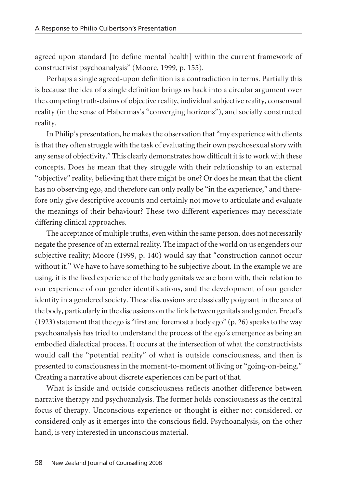agreed upon standard [to define mental health] within the current framework of constructivist psychoanalysis" (Moore, 1999, p. 155).

Perhaps a single agreed-upon definition is a contradiction in terms. Partially this is because the idea of a single definition brings us back into a circular argument over the competing truth-claims of objective reality, individualsubjective reality, consensual reality (in the sense of Habermas's "converging horizons"), and socially constructed reality.

In Philip's presentation, he makes the observation that "my experience with clients is that they often struggle with the task of evaluating their own psychosexual story with any sense of objectivity." This clearly demonstrates how difficult it isto work with these concepts. Does he mean that they struggle with their relationship to an external "objective" reality, believing that there might be one? Or does he mean that the client has no observing ego, and therefore can only really be "in the experience," and therefore only give descriptive accounts and certainly not move to articulate and evaluate the meanings of their behaviour? These two different experiences may necessitate differing clinical approaches.

The acceptance of multiple truths, even within the same person, does not necessarily negate the presence of an external reality. The impact of the world on us engenders our subjective reality; Moore (1999, p. 140) would say that "construction cannot occur without it." We have to have something to be subjective about. In the example we are using, it is the lived experience of the body genitals we are born with, their relation to our experience of our gender identifications, and the development of our gender identity in a gendered society. These discussions are classically poignant in the area of the body, particularly in the discussions on the link between genitals and gender. Freud's (1923) statement that the ego is "first and foremost a body ego" (p. 26) speaks to the way psychoanalysis has tried to understand the process of the ego's emergence as being an embodied dialectical process. It occurs at the intersection of what the constructivists would call the "potential reality" of what is outside consciousness, and then is presented to consciousness in the moment-to-moment of living or "going-on-being." Creating a narrative about discrete experiences can be part of that.

What is inside and outside consciousness reflects another difference between narrative therapy and psychoanalysis. The former holds consciousness as the central focus of therapy. Unconscious experience or thought is either not considered, or considered only as it emerges into the conscious field. Psychoanalysis, on the other hand, is very interested in unconscious material.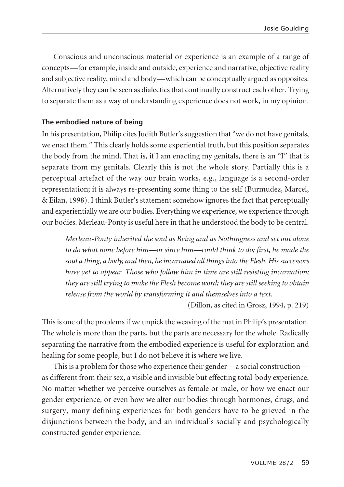Conscious and unconscious material or experience is an example of a range of concepts—for example, inside and outside, experience and narrative, objective reality and subjective reality, mind and body—which can be conceptually argued as opposites. Alternatively they can be seen as dialectics that continually construct each other. Trying to separate them as a way of understanding experience does not work, in my opinion.

## **The embodied nature of being**

In his presentation, Philip cites Judith Butler's suggestion that "we do not have genitals, we enact them." This clearly holds some experiential truth, but this position separates the body from the mind. That is, if I am enacting my genitals, there is an "I" that is separate from my genitals. Clearly this is not the whole story. Partially this is a perceptual artefact of the way our brain works, e.g., language is a second-order representation; it is always re-presenting some thing to the self (Burmudez, Marcel, & Eilan, 1998). I think Butler's statement somehow ignores the fact that perceptually and experientially we are our bodies. Everything we experience, we experience through our bodies. Merleau-Ponty is useful here in that he understood the body to be central.

*Merleau-Ponty inherited the soul as Being and as Nothingness and set out alone to do what none before him—or since him—could think to do; first, he made the soul a thing, a body, and then, heincarnated all things into the Flesh. His successors have yet to appear. Those who follow him in time are still resisting incarnation; they arestill trying to makethe Flesh become word; they arestill seeking to obtain release from the world by transforming it and themselves into a text.*

(Dillon, as cited in Grosz, 1994, p. 219)

Thisis one of the problemsif we unpick the weaving of the mat in Philip's presentation. The whole is more than the parts, but the parts are necessary for the whole. Radically separating the narrative from the embodied experience is useful for exploration and healing for some people, but I do not believe it is where we live.

This is a problem for those who experience their gender—a social construction as different from their sex, a visible and invisible but effecting total-body experience. No matter whether we perceive ourselves as female or male, or how we enact our gender experience, or even how we alter our bodies through hormones, drugs, and surgery, many defining experiences for both genders have to be grieved in the disjunctions between the body, and an individual's socially and psychologically constructed gender experience.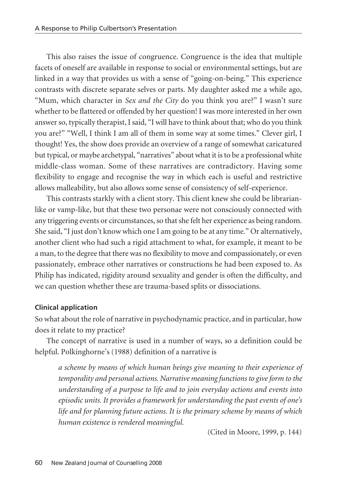This also raises the issue of congruence. Congruence is the idea that multiple facets of oneself are available in response to social or environmental settings, but are linked in a way that provides us with a sense of "going-on-being." This experience contrasts with discrete separate selves or parts. My daughter asked me a while ago, "Mum, which character in *Sex and the City* do you think you are?" I wasn't sure whether to be flattered or offended by her question! I was more interested in her own answerso, typically therapist, I said, "I will have to think about that; who do you think you are?" "Well, I think I am all of them in some way at some times." Clever girl, I thought! Yes, the show does provide an overview of a range of somewhat caricatured but typical, or maybe archetypal, "narratives" about what it isto be a professional white middle-class woman. Some of these narratives are contradictory. Having some flexibility to engage and recognise the way in which each is useful and restrictive allows malleability, but also allows some sense of consistency of self-experience.

This contrasts starkly with a client story. This client knew she could be librarianlike or vamp-like, but that these two personae were not consciously connected with any triggering events or circumstances, so that she felt her experience as being random. She said, "I just don't know which one I am going to be at any time." Or alternatively, another client who had such a rigid attachment to what, for example, it meant to be a man, to the degree that there was no flexibility to move and compassionately, or even passionately, embrace other narratives or constructions he had been exposed to. As Philip has indicated, rigidity around sexuality and gender is often the difficulty, and we can question whether these are trauma-based splits or dissociations.

## **Clinical application**

So what about the role of narrative in psychodynamic practice, and in particular, how does it relate to my practice?

The concept of narrative is used in a number of ways, so a definition could be helpful. Polkinghorne's (1988) definition of a narrative is

*a scheme by means of which human beings give meaning to their experience of temporality and personal actions. Narrative meaning functions to giveform to the understanding of a purpose to life and to join everyday actions and events into episodic units. It provides a framework for understanding the past events of one's life and for planning future actions. It is the primary scheme by means of which human existence is rendered meaningful.*

(Cited in Moore, 1999, p. 144)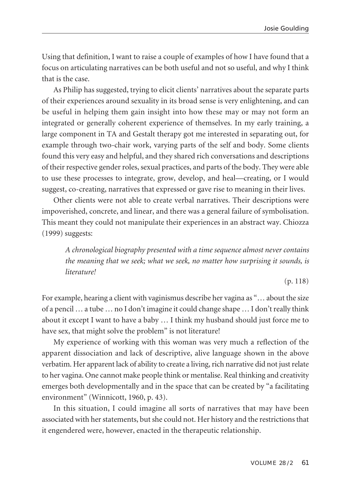Using that definition, I want to raise a couple of examples of how I have found that a focus on articulating narratives can be both useful and not so useful, and why I think that is the case.

As Philip has suggested, trying to elicit clients' narratives about the separate parts of their experiences around sexuality in its broad sense is very enlightening, and can be useful in helping them gain insight into how these may or may not form an integrated or generally coherent experience of themselves. In my early training, a large component in TA and Gestalt therapy got me interested in separating out, for example through two-chair work, varying parts of the self and body. Some clients found this very easy and helpful, and they shared rich conversations and descriptions of their respective gender roles, sexual practices, and parts of the body. They were able to use these processes to integrate, grow, develop, and heal—creating, or I would suggest, co-creating, narratives that expressed or gave rise to meaning in their lives.

Other clients were not able to create verbal narratives. Their descriptions were impoverished, concrete, and linear, and there was a general failure of symbolisation. This meant they could not manipulate their experiences in an abstract way. Chiozza (1999) suggests:

*A chronological biography presented with a time sequence almost never contains the meaning that we seek; what we seek, no matter how surprising it sounds, is literature!*

(p. 118)

For example, hearing a client with vaginismus describe her vagina as "… about the size of a pencil ... a tube ... no I don't imagine it could change shape ... I don't really think about it except I want to have a baby … I think my husband should just force me to have sex, that might solve the problem" is not literature!

My experience of working with this woman was very much a reflection of the apparent dissociation and lack of descriptive, alive language shown in the above verbatim. Her apparent lack of ability to create a living, rich narrative did not just relate to her vagina. One cannot make people think or mentalise. Real thinking and creativity emerges both developmentally and in the space that can be created by "a facilitating environment" (Winnicott, 1960, p. 43).

In this situation, I could imagine all sorts of narratives that may have been associated with her statements, but she could not. Her history and the restrictions that it engendered were, however, enacted in the therapeutic relationship.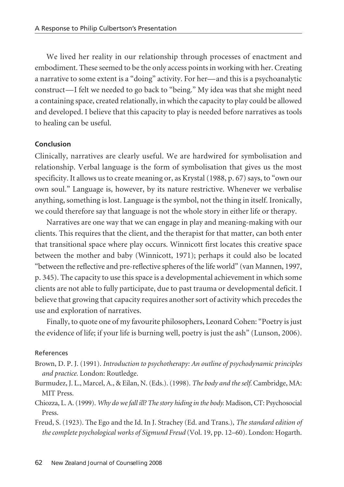We lived her reality in our relationship through processes of enactment and embodiment. These seemed to be the only access points in working with her. Creating a narrative to some extent is a "doing" activity. For her—and this is a psychoanalytic construct—I felt we needed to go back to "being." My idea was that she might need a containing space, created relationally, in which the capacity to play could be allowed and developed. I believe that this capacity to play is needed before narratives as tools to healing can be useful.

## **Conclusion**

Clinically, narratives are clearly useful. We are hardwired for symbolisation and relationship. Verbal language is the form of symbolisation that gives us the most specificity. It allows us to create meaning or, as Krystal (1988, p. 67) says, to "own our own soul." Language is, however, by its nature restrictive. Whenever we verbalise anything, something is lost. Language is the symbol, not the thing in itself. Ironically, we could therefore say that language is not the whole story in either life or therapy.

Narratives are one way that we can engage in play and meaning-making with our clients. This requires that the client, and the therapist for that matter, can both enter that transitional space where play occurs. Winnicott first locates this creative space between the mother and baby (Winnicott, 1971); perhaps it could also be located "between the reflective and pre-reflective spheres of the life world" (van Mannen, 1997, p. 345). The capacity to use this space is a developmental achievement in which some clients are not able to fully participate, due to past trauma or developmental deficit. I believe that growing that capacity requires another sort of activity which precedes the use and exploration of narratives.

Finally, to quote one of my favourite philosophers, Leonard Cohen: "Poetry is just the evidence of life; if your life is burning well, poetry is just the ash" (Lunson, 2006).

## References

- Brown, D. P. J. (1991). *Introduction to psychotherapy: An outline of psychodynamic principles and practice.* London: Routledge.
- Burmudez, J. L., Marcel, A., & Eilan, N.(Eds.).(1998). *The body and theself.*Cambridge, MA: MIT Press.
- Chiozza, L. A.(1999). *Why do wefall ill? Thestory hiding in the body.* Madison, CT: Psychosocial Press.

Freud, S. (1923). The Ego and the Id. In J. Strachey (Ed. and Trans.), *The standard edition of the complete psychological works of Sigmund Freud* (Vol. 19, pp. 12–60). London: Hogarth.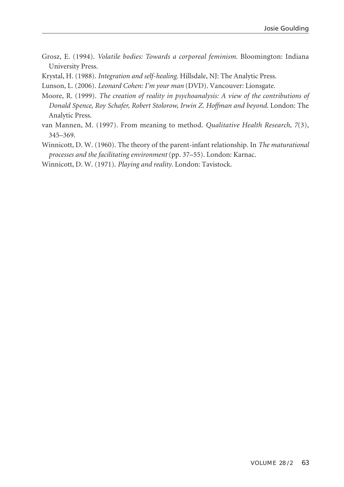- Grosz, E. (1994). *Volatile bodies: Towards a corporeal feminism*. Bloomington: Indiana University Press.
- Krystal, H. (1988). *Integration and self-healing*. Hillsdale, NJ: The Analytic Press.
- Lunson, L. (2006). *Leonard Cohen: I'm your man* (DVD). Vancouver: Lionsgate.
- Moore, R. (1999). *The creation of reality in psychoanalysis: A view of the contributions of Donald Spence, Roy Schafer, Robert Stolorow, Irwin Z. Hoffman and beyond*. London: The Analytic Press.
- van Mannen, M. (1997). From meaning to method. *Qualitative Health Research, 7*(3), 345–369.
- Winnicott, D. W. (1960). The theory of the parent-infant relationship. In *The maturational processes and the facilitating environment* (pp. 37–55). London: Karnac.

Winnicott, D. W. (1971). *Playing and reality*. London: Tavistock.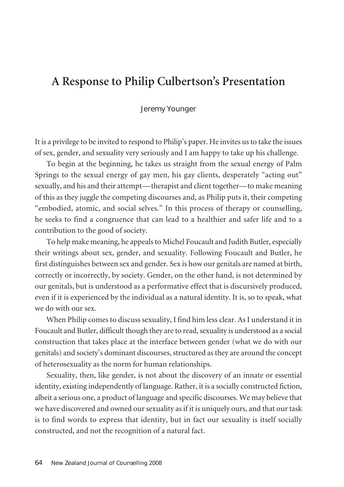# **A Response to Philip Culbertson's Presentation**

#### Jeremy Younger

It is a privilege to be invited to respond to Philip's paper. He invites usto take the issues of sex, gender, and sexuality very seriously and I am happy to take up his challenge.

To begin at the beginning, he takes us straight from the sexual energy of Palm Springs to the sexual energy of gay men, his gay clients, desperately "acting out" sexually, and his and their attempt—therapist and client together—to make meaning of this as they juggle the competing discourses and, as Philip puts it, their competing "embodied, atomic, and social selves." In this process of therapy or counselling, he seeks to find a congruence that can lead to a healthier and safer life and to a contribution to the good of society.

To help make meaning, he appeals to Michel Foucault and Judith Butler, especially their writings about sex, gender, and sexuality. Following Foucault and Butler, he first distinguishes between sex and gender. Sex is how our genitals are named at birth, correctly or incorrectly, by society. Gender, on the other hand, is not determined by our genitals, but is understood as a performative effect that is discursively produced, even if it is experienced by the individual as a natural identity. It is, so to speak, what we do with our sex.

When Philip comes to discuss sexuality, I find him less clear. As I understand it in Foucault and Butler, difficult though they are to read, sexuality is understood as a social construction that takes place at the interface between gender (what we do with our genitals) and society's dominant discourses, structured as they are around the concept of heterosexuality as the norm for human relationships.

Sexuality, then, like gender, is not about the discovery of an innate or essential identity, existing independently of language. Rather, it is a socially constructed fiction, albeit a serious one, a product of language and specific discourses. We may believe that we have discovered and owned our sexuality as if it is uniquely ours, and that our task is to find words to express that identity, but in fact our sexuality is itself socially constructed, and not the recognition of a natural fact.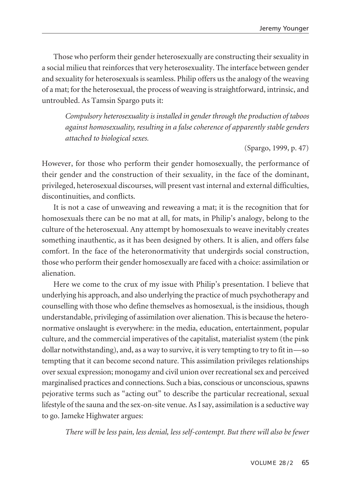Those who perform their gender heterosexually are constructing their sexuality in a social milieu that reinforces that very heterosexuality. The interface between gender and sexuality for heterosexuals is seamless. Philip offers us the analogy of the weaving of a mat; forthe heterosexual, the process of weaving is straightforward, intrinsic, and untroubled. As Tamsin Spargo puts it:

*Compulsory heterosexuality is installed in genderthrough the production of taboos against homosexuality, resulting in a false coherence of apparently stable genders attached to biological sexes.*

(Spargo, 1999, p. 47)

However, for those who perform their gender homosexually, the performance of their gender and the construction of their sexuality, in the face of the dominant, privileged, heterosexual discourses, will present vast internal and external difficulties, discontinuities, and conflicts.

It is not a case of unweaving and reweaving a mat; it is the recognition that for homosexuals there can be no mat at all, for mats, in Philip's analogy, belong to the culture of the heterosexual. Any attempt by homosexuals to weave inevitably creates something inauthentic, as it has been designed by others. It is alien, and offers false comfort. In the face of the heteronormativity that undergirds social construction, those who perform their gender homosexually are faced with a choice: assimilation or alienation.

Here we come to the crux of my issue with Philip's presentation. I believe that underlying his approach, and also underlying the practice of much psychotherapy and counselling with those who define themselves as homosexual, is the insidious, though understandable, privileging of assimilation over alienation. This is because the heteronormative onslaught is everywhere: in the media, education, entertainment, popular culture, and the commercial imperatives of the capitalist, materialist system (the pink dollar notwithstanding), and, as a way to survive, it is very tempting to try to fit in—so tempting that it can become second nature. This assimilation privileges relationships over sexual expression; monogamy and civil union over recreational sex and perceived marginalised practices and connections. Such a bias, conscious or unconscious,spawns pejorative terms such as "acting out" to describe the particular recreational, sexual lifestyle of the sauna and the sex-on-site venue. As I say, assimilation is a seductive way to go. Jameke Highwater argues:

*There will be less pain, less denial, less self-contempt. But there will also be fewer*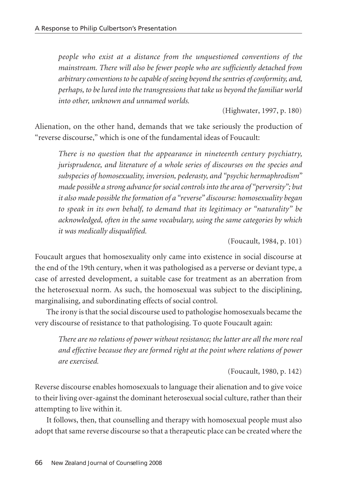*people who exist at a distance from the unquestioned conventions of the mainstream. There will also be fewer people who are sufficiently detached from arbitrary conventions to becapable of seeing beyond thesentries of conformity, and, perhaps, to belured into thetransgressions that take us beyond thefamiliar world into other, unknown and unnamed worlds.*

(Highwater, 1997, p. 180)

Alienation, on the other hand, demands that we take seriously the production of "reverse discourse," which is one of the fundamental ideas of Foucault:

*There is no question that the appearance in nineteenth century psychiatry, jurisprudence, and literature of a whole series of discourses on the species and subspecies of homosexuality, inversion, pederasty, and "psychic hermaphrodism" made possible a strong advancefor socialcontrols into the area of "perversity"; but it also made possibletheformation of a "reverse" discourse: homosexuality began to speak in its own behalf, to demand that its legitimacy or "naturality" be acknowledged, often in the same vocabulary, using the same categories by which it was medically disqualified.*

(Foucault, 1984, p. 101)

Foucault argues that homosexuality only came into existence in social discourse at the end of the 19th century, when it was pathologised as a perverse or deviant type, a case of arrested development, a suitable case for treatment as an aberration from the heterosexual norm. As such, the homosexual was subject to the disciplining, marginalising, and subordinating effects of social control.

The irony is that the social discourse used to pathologise homosexuals became the very discourse of resistance to that pathologising. To quote Foucault again:

*There are no relations of power without resistance; the latter are all the more real and effective because they are formed right at the point where relations of power are exercised.*

(Foucault, 1980, p. 142)

Reverse discourse enables homosexuals to language their alienation and to give voice to their living over-against the dominant heterosexual social culture, rather than their attempting to live within it.

It follows, then, that counselling and therapy with homosexual people must also adopt that same reverse discourse so that a therapeutic place can be created where the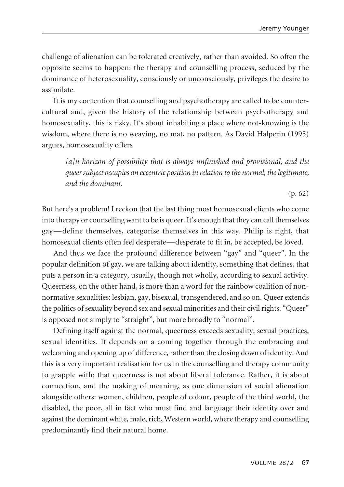challenge of alienation can be tolerated creatively, rather than avoided. So often the opposite seems to happen: the therapy and counselling process, seduced by the dominance of heterosexuality, consciously or unconsciously, privileges the desire to assimilate.

It is my contention that counselling and psychotherapy are called to be countercultural and, given the history of the relationship between psychotherapy and homosexuality, this is risky. It's about inhabiting a place where not-knowing is the wisdom, where there is no weaving, no mat, no pattern. As David Halperin (1995) argues, homosexuality offers

*[a]n horizon of possibility that is always unfinished and provisional, and the queersubject occupies an eccentric position in relation to the normal, thelegitimate, and the dominant.*

(p. 62)

But here's a problem! I reckon that the last thing most homosexual clients who come into therapy or counselling want to be is queer. It's enough that they can call themselves gay—define themselves, categorise themselves in this way. Philip is right, that homosexual clients often feel desperate—desperate to fit in, be accepted, be loved.

And thus we face the profound difference between "gay" and "queer". In the popular definition of gay, we are talking about identity, something that defines, that puts a person in a category, usually, though not wholly, according to sexual activity. Queerness, on the other hand, is more than a word for the rainbow coalition of nonnormative sexualities: lesbian, gay, bisexual, transgendered, and so on. Queer extends the politics of sexuality beyond sex and sexual minorities and their civil rights. "Queer" is opposed not simply to "straight", but more broadly to "normal".

Defining itself against the normal, queerness exceeds sexuality, sexual practices, sexual identities. It depends on a coming together through the embracing and welcoming and opening up of difference, rather than the closing down of identity. And this is a very important realisation for us in the counselling and therapy community to grapple with: that queerness is not about liberal tolerance. Rather, it is about connection, and the making of meaning, as one dimension of social alienation alongside others: women, children, people of colour, people of the third world, the disabled, the poor, all in fact who must find and language their identity over and against the dominant white, male, rich, Western world, where therapy and counselling predominantly find their natural home.